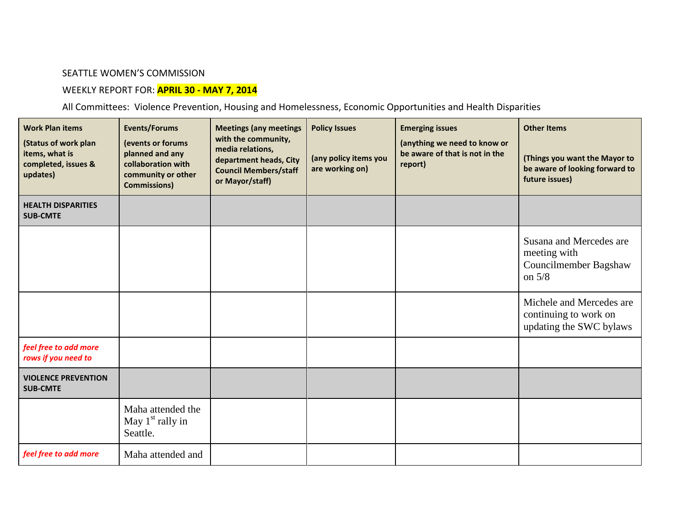## SEATTLE WOMEN'S COMMISSION

## WEEKLY REPORT FOR: **APRIL 30 - MAY 7, 2014**

All Committees: Violence Prevention, Housing and Homelessness, Economic Opportunities and Health Disparities

| <b>Work Plan items</b><br>(Status of work plan<br>items, what is<br>completed, issues &<br>updates) | <b>Events/Forums</b><br>(events or forums<br>planned and any<br>collaboration with<br>community or other<br><b>Commissions)</b> | <b>Meetings (any meetings</b><br>with the community,<br>media relations,<br>department heads, City<br><b>Council Members/staff</b><br>or Mayor/staff) | <b>Policy Issues</b><br>(any policy items you<br>are working on) | <b>Emerging issues</b><br>(anything we need to know or<br>be aware of that is not in the<br>report) | <b>Other Items</b><br>(Things you want the Mayor to<br>be aware of looking forward to<br>future issues) |
|-----------------------------------------------------------------------------------------------------|---------------------------------------------------------------------------------------------------------------------------------|-------------------------------------------------------------------------------------------------------------------------------------------------------|------------------------------------------------------------------|-----------------------------------------------------------------------------------------------------|---------------------------------------------------------------------------------------------------------|
| <b>HEALTH DISPARITIES</b><br><b>SUB-CMTE</b>                                                        |                                                                                                                                 |                                                                                                                                                       |                                                                  |                                                                                                     |                                                                                                         |
|                                                                                                     |                                                                                                                                 |                                                                                                                                                       |                                                                  |                                                                                                     | Susana and Mercedes are<br>meeting with<br>Councilmember Bagshaw<br>on $5/8$                            |
|                                                                                                     |                                                                                                                                 |                                                                                                                                                       |                                                                  |                                                                                                     | Michele and Mercedes are<br>continuing to work on<br>updating the SWC bylaws                            |
| feel free to add more<br>rows if you need to                                                        |                                                                                                                                 |                                                                                                                                                       |                                                                  |                                                                                                     |                                                                                                         |
| <b>VIOLENCE PREVENTION</b><br><b>SUB-CMTE</b>                                                       |                                                                                                                                 |                                                                                                                                                       |                                                                  |                                                                                                     |                                                                                                         |
|                                                                                                     | Maha attended the<br>May $1st$ rally in<br>Seattle.                                                                             |                                                                                                                                                       |                                                                  |                                                                                                     |                                                                                                         |
| feel free to add more                                                                               | Maha attended and                                                                                                               |                                                                                                                                                       |                                                                  |                                                                                                     |                                                                                                         |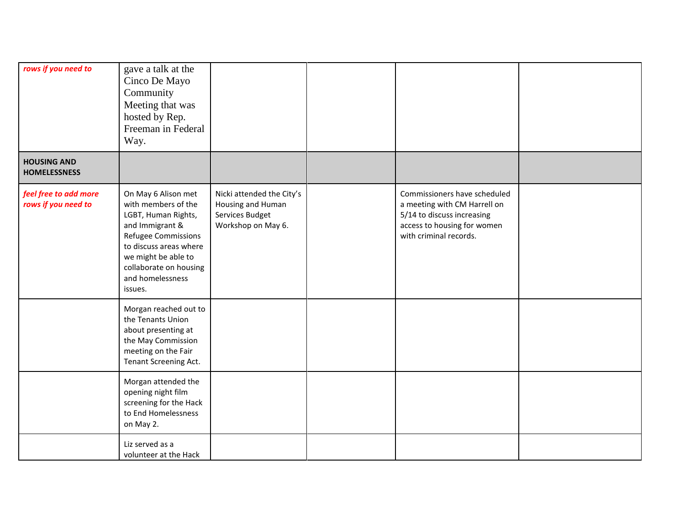| rows if you need to                          | gave a talk at the<br>Cinco De Mayo<br>Community<br>Meeting that was<br>hosted by Rep.<br>Freeman in Federal<br>Way.                                                                                                  |                                                                                         |                                                                                                                                                     |  |
|----------------------------------------------|-----------------------------------------------------------------------------------------------------------------------------------------------------------------------------------------------------------------------|-----------------------------------------------------------------------------------------|-----------------------------------------------------------------------------------------------------------------------------------------------------|--|
| <b>HOUSING AND</b><br><b>HOMELESSNESS</b>    |                                                                                                                                                                                                                       |                                                                                         |                                                                                                                                                     |  |
| feel free to add more<br>rows if you need to | On May 6 Alison met<br>with members of the<br>LGBT, Human Rights,<br>and Immigrant &<br>Refugee Commissions<br>to discuss areas where<br>we might be able to<br>collaborate on housing<br>and homelessness<br>issues. | Nicki attended the City's<br>Housing and Human<br>Services Budget<br>Workshop on May 6. | Commissioners have scheduled<br>a meeting with CM Harrell on<br>5/14 to discuss increasing<br>access to housing for women<br>with criminal records. |  |
|                                              | Morgan reached out to<br>the Tenants Union<br>about presenting at<br>the May Commission<br>meeting on the Fair<br>Tenant Screening Act.                                                                               |                                                                                         |                                                                                                                                                     |  |
|                                              | Morgan attended the<br>opening night film<br>screening for the Hack<br>to End Homelessness<br>on May 2.                                                                                                               |                                                                                         |                                                                                                                                                     |  |
|                                              | Liz served as a<br>volunteer at the Hack                                                                                                                                                                              |                                                                                         |                                                                                                                                                     |  |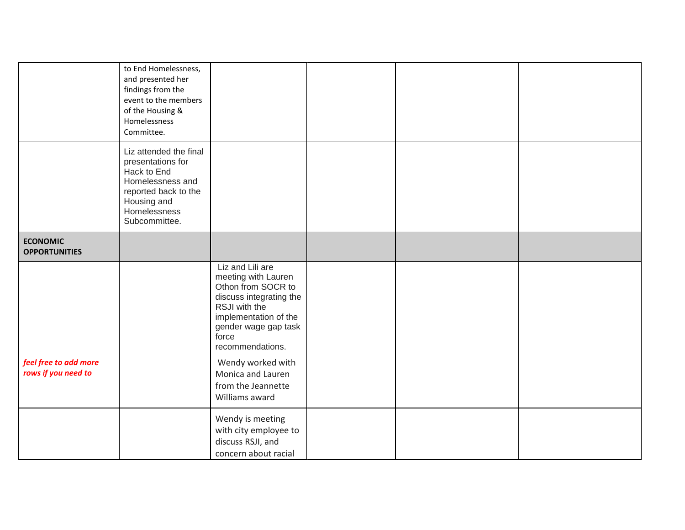|                                              | to End Homelessness,<br>and presented her<br>findings from the<br>event to the members<br>of the Housing &<br>Homelessness<br>Committee.               |                                                                                                                                                                                         |  |  |
|----------------------------------------------|--------------------------------------------------------------------------------------------------------------------------------------------------------|-----------------------------------------------------------------------------------------------------------------------------------------------------------------------------------------|--|--|
|                                              | Liz attended the final<br>presentations for<br>Hack to End<br>Homelessness and<br>reported back to the<br>Housing and<br>Homelessness<br>Subcommittee. |                                                                                                                                                                                         |  |  |
| <b>ECONOMIC</b><br><b>OPPORTUNITIES</b>      |                                                                                                                                                        |                                                                                                                                                                                         |  |  |
|                                              |                                                                                                                                                        | Liz and Lili are<br>meeting with Lauren<br>Othon from SOCR to<br>discuss integrating the<br>RSJI with the<br>implementation of the<br>gender wage gap task<br>force<br>recommendations. |  |  |
| feel free to add more<br>rows if you need to |                                                                                                                                                        | Wendy worked with<br>Monica and Lauren<br>from the Jeannette<br>Williams award                                                                                                          |  |  |
|                                              |                                                                                                                                                        | Wendy is meeting<br>with city employee to<br>discuss RSJI, and<br>concern about racial                                                                                                  |  |  |